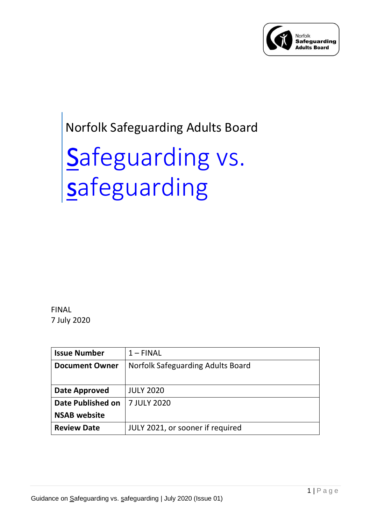

## Norfolk Safeguarding Adults Board

# Safeguarding vs. safeguarding

FINAL 7 July 2020

| <b>Issue Number</b>      | $1 - FINAL$                       |
|--------------------------|-----------------------------------|
| <b>Document Owner</b>    | Norfolk Safeguarding Adults Board |
|                          |                                   |
| Date Approved            | <b>JULY 2020</b>                  |
| <b>Date Published on</b> | 7 JULY 2020                       |
| <b>NSAB</b> website      |                                   |
| <b>Review Date</b>       | JULY 2021, or sooner if required  |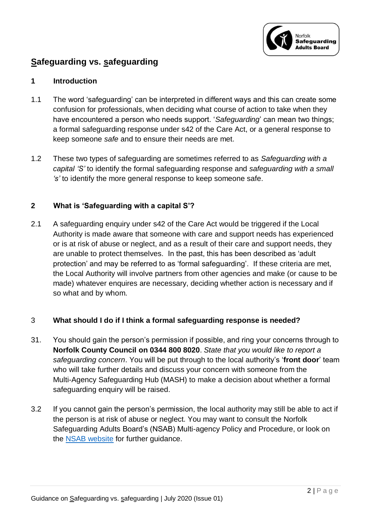

### **Safeguarding vs. safeguarding**

#### **1 Introduction**

- 1.1 The word 'safeguarding' can be interpreted in different ways and this can create some confusion for professionals, when deciding what course of action to take when they have encountered a person who needs support. '*Safeguarding*' can mean two things; a formal safeguarding response under s42 of the Care Act, or a general response to keep someone *safe* and to ensure their needs are met.
- 1.2 These two types of safeguarding are sometimes referred to as *Safeguarding with a capital 'S'* to identify the formal safeguarding response and *safeguarding with a small 's'* to identify the more general response to keep someone safe.

#### **2 What is 'Safeguarding with a capital S'?**

2.1 A safeguarding enquiry under s42 of the Care Act would be triggered if the Local Authority is made aware that someone with care and support needs has experienced or is at risk of abuse or neglect, and as a result of their care and support needs, they are unable to protect themselves. In the past, this has been described as 'adult protection' and may be referred to as 'formal safeguarding'. If these criteria are met, the Local Authority will involve partners from other agencies and make (or cause to be made) whatever enquires are necessary, deciding whether action is necessary and if so what and by whom.

#### 3 **What should I do if I think a formal safeguarding response is needed?**

- 31. You should gain the person's permission if possible, and ring your concerns through to **Norfolk County Council on 0344 800 8020**. *State that you would like to report a safeguarding concern*. You will be put through to the local authority's '**front door**' team who will take further details and discuss your concern with someone from the Multi-Agency Safeguarding Hub (MASH) to make a decision about whether a formal safeguarding enquiry will be raised.
- 3.2 If you cannot gain the person's permission, the local authority may still be able to act if the person is at risk of abuse or neglect. You may want to consult the Norfolk Safeguarding Adults Board's (NSAB) Multi-agency Policy and Procedure, or look on the [NSAB website](https://www.norfolksafeguardingadultsboard.info/) for further guidance.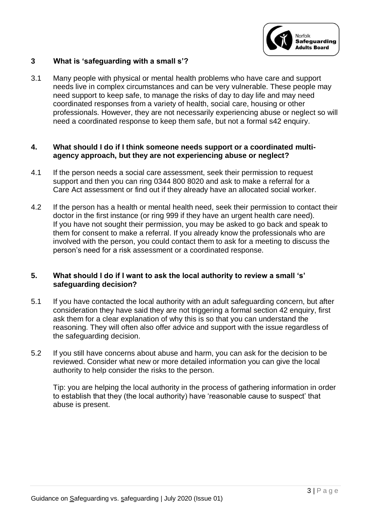

#### **3 What is 'safeguarding with a small s'?**

3.1 Many people with physical or mental health problems who have care and support needs live in complex circumstances and can be very vulnerable. These people may need support to keep safe, to manage the risks of day to day life and may need coordinated responses from a variety of health, social care, housing or other professionals. However, they are not necessarily experiencing abuse or neglect so will need a coordinated response to keep them safe, but not a formal s42 enquiry.

#### **4. What should I do if I think someone needs support or a coordinated multiagency approach, but they are not experiencing abuse or neglect?**

- 4.1 If the person needs a social care assessment, seek their permission to request support and then you can ring 0344 800 8020 and ask to make a referral for a Care Act assessment or find out if they already have an allocated social worker.
- 4.2 If the person has a health or mental health need, seek their permission to contact their doctor in the first instance (or ring 999 if they have an urgent health care need). If you have not sought their permission, you may be asked to go back and speak to them for consent to make a referral. If you already know the professionals who are involved with the person, you could contact them to ask for a meeting to discuss the person's need for a risk assessment or a coordinated response.

#### **5. What should I do if I want to ask the local authority to review a small 's' safeguarding decision?**

- 5.1 If you have contacted the local authority with an adult safeguarding concern, but after consideration they have said they are not triggering a formal section 42 enquiry, first ask them for a clear explanation of why this is so that you can understand the reasoning. They will often also offer advice and support with the issue regardless of the safeguarding decision.
- 5.2 If you still have concerns about abuse and harm, you can ask for the decision to be reviewed. Consider what new or more detailed information you can give the local authority to help consider the risks to the person.

Tip: you are helping the local authority in the process of gathering information in order to establish that they (the local authority) have 'reasonable cause to suspect' that abuse is present.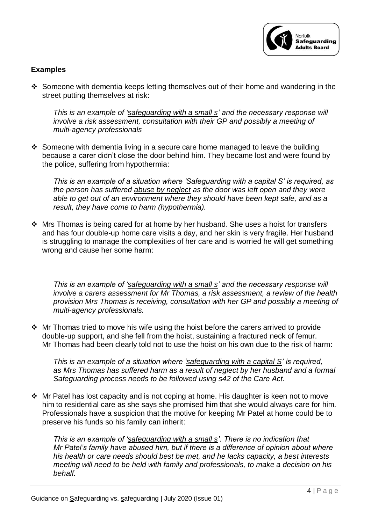

#### **Examples**

❖ Someone with dementia keeps letting themselves out of their home and wandering in the street putting themselves at risk:

*This is an example of 'safeguarding with a small s' and the necessary response will involve a risk assessment, consultation with their GP and possibly a meeting of multi-agency professionals*

❖ Someone with dementia living in a secure care home managed to leave the building because a carer didn't close the door behind him. They became lost and were found by the police, suffering from hypothermia:

*This is an example of a situation where 'Safeguarding with a capital S' is required, as the person has suffered abuse by neglect as the door was left open and they were able to get out of an environment where they should have been kept safe, and as a result, they have come to harm (hypothermia).*

❖ Mrs Thomas is being cared for at home by her husband. She uses a hoist for transfers and has four double-up home care visits a day, and her skin is very fragile. Her husband is struggling to manage the complexities of her care and is worried he will get something wrong and cause her some harm:

*This is an example of 'safeguarding with a small s' and the necessary response will involve a carers assessment for Mr Thomas, a risk assessment, a review of the health provision Mrs Thomas is receiving, consultation with her GP and possibly a meeting of multi-agency professionals.*

❖ Mr Thomas tried to move his wife using the hoist before the carers arrived to provide double-up support, and she fell from the hoist, sustaining a fractured neck of femur. Mr Thomas had been clearly told not to use the hoist on his own due to the risk of harm:

*This is an example of a situation where 'safeguarding with a capital S' is required, as Mrs Thomas has suffered harm as a result of neglect by her husband and a formal Safeguarding process needs to be followed using s42 of the Care Act.*

❖ Mr Patel has lost capacity and is not coping at home. His daughter is keen not to move him to residential care as she says she promised him that she would always care for him. Professionals have a suspicion that the motive for keeping Mr Patel at home could be to preserve his funds so his family can inherit:

*This is an example of 'safeguarding with a small s'. There is no indication that Mr Patel's family have abused him, but if there is a difference of opinion about where his health or care needs should best be met, and he lacks capacity, a best interests meeting will need to be held with family and professionals, to make a decision on his behalf.*